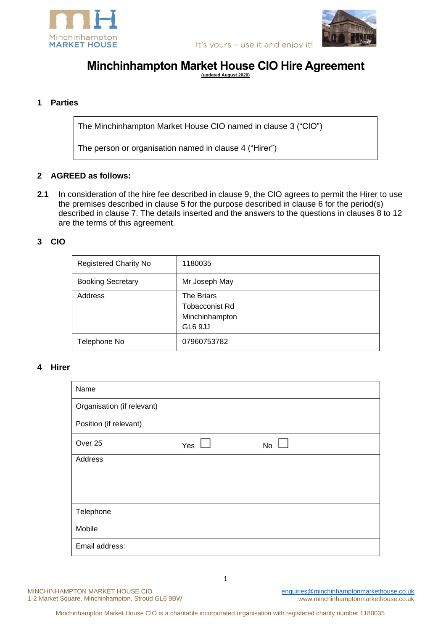



It's yours - use it and enjoy it!

# **Minchinhampton Market House CIO Hire Agreement**

**(updated August 2020)** 

# **1 Parties**

The Minchinhampton Market House CIO named in clause 3 ("CIO")

The person or organisation named in clause 4 ("Hirer")

### **2 AGREED as follows:**

**2.1** In consideration of the hire fee described in clause 9, the CIO agrees to permit the Hirer to use the premises described in clause 5 for the purpose described in clause 6 for the period(s) described in clause 7. The details inserted and the answers to the questions in clauses 8 to 12 are the terms of this agreement.

#### **3 CIO**

| <b>Registered Charity No</b> | 1180035                                                          |  |
|------------------------------|------------------------------------------------------------------|--|
| <b>Booking Secretary</b>     | Mr Joseph May                                                    |  |
| Address                      | The Briars<br><b>Tobacconist Rd</b><br>Minchinhampton<br>GL6 9JJ |  |
| Telephone No                 | 07960753782                                                      |  |

#### **4 Hirer**

| Name                       |     |    |
|----------------------------|-----|----|
| Organisation (if relevant) |     |    |
| Position (if relevant)     |     |    |
| Over 25                    | Yes | No |
| Address                    |     |    |
|                            |     |    |
|                            |     |    |
| Telephone                  |     |    |
| Mobile                     |     |    |
| Email address:             |     |    |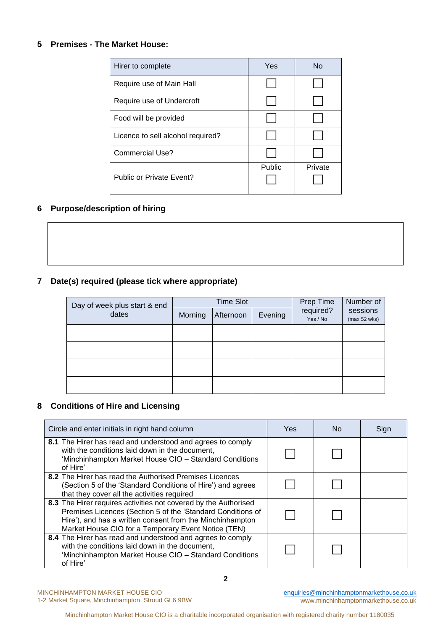#### **5 Premises - The Market House:**

| Hirer to complete                 | Yes           | N <sub>0</sub> |
|-----------------------------------|---------------|----------------|
| Require use of Main Hall          |               |                |
| Require use of Undercroft         |               |                |
| Food will be provided             |               |                |
| Licence to sell alcohol required? |               |                |
| Commercial Use?                   |               |                |
| Public or Private Event?          | <b>Public</b> | Private        |

# **6 Purpose/description of hiring**

# **7 Date(s) required (please tick where appropriate)**

| Day of week plus start & end |         | <b>Time Slot</b> | Prep Time | Number of             |                          |
|------------------------------|---------|------------------|-----------|-----------------------|--------------------------|
| dates                        | Morning | Afternoon        | Evening   | required?<br>Yes / No | sessions<br>(max 52 wks) |
|                              |         |                  |           |                       |                          |
|                              |         |                  |           |                       |                          |
|                              |         |                  |           |                       |                          |
|                              |         |                  |           |                       |                          |

# **8 Conditions of Hire and Licensing**

| Circle and enter initials in right hand column                                                                                                                                                                                                     | Yes. | No. | Sign |
|----------------------------------------------------------------------------------------------------------------------------------------------------------------------------------------------------------------------------------------------------|------|-----|------|
| 8.1 The Hirer has read and understood and agrees to comply<br>with the conditions laid down in the document,<br>'Minchinhampton Market House CIO - Standard Conditions<br>of Hire'                                                                 |      |     |      |
| 8.2 The Hirer has read the Authorised Premises Licences<br>(Section 5 of the 'Standard Conditions of Hire') and agrees<br>that they cover all the activities required                                                                              |      |     |      |
| 8.3 The Hirer requires activities not covered by the Authorised<br>Premises Licences (Section 5 of the 'Standard Conditions of<br>Hire'), and has a written consent from the Minchinhampton<br>Market House CIO for a Temporary Event Notice (TEN) |      |     |      |
| 8.4 The Hirer has read and understood and agrees to comply<br>with the conditions laid down in the document,<br>'Minchinhampton Market House CIO - Standard Conditions<br>of Hire'                                                                 |      |     |      |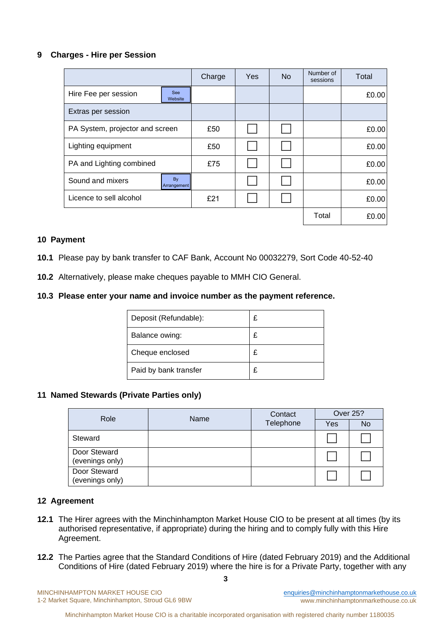### **9 Charges - Hire per Session**

|                                 |                       | Charge | Yes | <b>No</b> | Number of<br>sessions | Total |
|---------------------------------|-----------------------|--------|-----|-----------|-----------------------|-------|
| Hire Fee per session            | <b>See</b><br>Website |        |     |           |                       | £0.00 |
| Extras per session              |                       |        |     |           |                       |       |
| PA System, projector and screen |                       | £50    |     |           |                       | £0.00 |
| Lighting equipment              |                       | £50    |     |           |                       | £0.00 |
| PA and Lighting combined        |                       | £75    |     |           |                       | £0.00 |
| Sound and mixers                | By<br>Arrangement     |        |     |           |                       | £0.00 |
| Licence to sell alcohol         |                       | £21    |     |           |                       | £0.00 |
|                                 |                       |        |     |           | Total                 | £0.00 |

# **10 Payment**

- **10.1** Please pay by bank transfer to CAF Bank, Account No 00032279, Sort Code 40-52-40
- **10.2** Alternatively, please make cheques payable to MMH CIO General.

# **10.3 Please enter your name and invoice number as the payment reference.**

| Deposit (Refundable): | £ |
|-----------------------|---|
| Balance owing:        | £ |
| Cheque enclosed       | £ |
| Paid by bank transfer |   |

### **11 Named Stewards (Private Parties only)**

| Role                            | Name | Contact   | <b>Over 25?</b> |           |
|---------------------------------|------|-----------|-----------------|-----------|
|                                 |      | Telephone | Yes             | <b>No</b> |
| Steward                         |      |           |                 |           |
| Door Steward<br>(evenings only) |      |           |                 |           |
| Door Steward<br>(evenings only) |      |           |                 |           |

### **12 Agreement**

- **12.1** The Hirer agrees with the Minchinhampton Market House CIO to be present at all times (by its authorised representative, if appropriate) during the hiring and to comply fully with this Hire Agreement.
- **12.2** The Parties agree that the Standard Conditions of Hire (dated February 2019) and the Additional Conditions of Hire (dated February 2019) where the hire is for a Private Party, together with any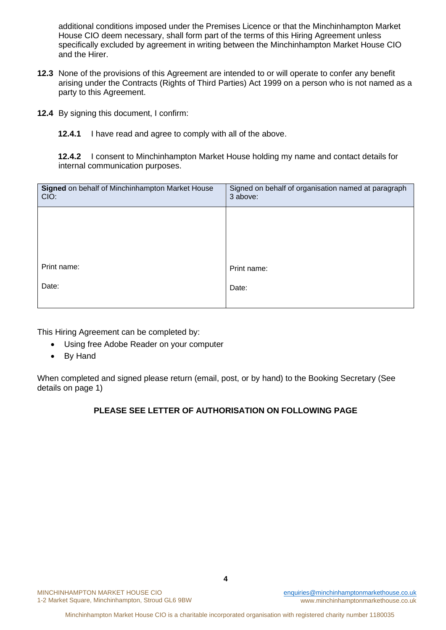additional conditions imposed under the Premises Licence or that the Minchinhampton Market House CIO deem necessary, shall form part of the terms of this Hiring Agreement unless specifically excluded by agreement in writing between the Minchinhampton Market House CIO and the Hirer.

- **12.3** None of the provisions of this Agreement are intended to or will operate to confer any benefit arising under the Contracts (Rights of Third Parties) Act 1999 on a person who is not named as a party to this Agreement.
- **12.4** By signing this document, I confirm:
	- **12.4.1** I have read and agree to comply with all of the above.

**12.4.2** I consent to Minchinhampton Market House holding my name and contact details for internal communication purposes.

| Signed on behalf of Minchinhampton Market House<br>CIO: | Signed on behalf of organisation named at paragraph<br>3 above: |
|---------------------------------------------------------|-----------------------------------------------------------------|
|                                                         |                                                                 |
|                                                         |                                                                 |
| Print name:                                             | Print name:                                                     |
| Date:                                                   | Date:                                                           |
|                                                         |                                                                 |

This Hiring Agreement can be completed by:

- Using free Adobe Reader on your computer
- By Hand

When completed and signed please return (email, post, or by hand) to the Booking Secretary (See details on page 1)

# **PLEASE SEE LETTER OF AUTHORISATION ON FOLLOWING PAGE**